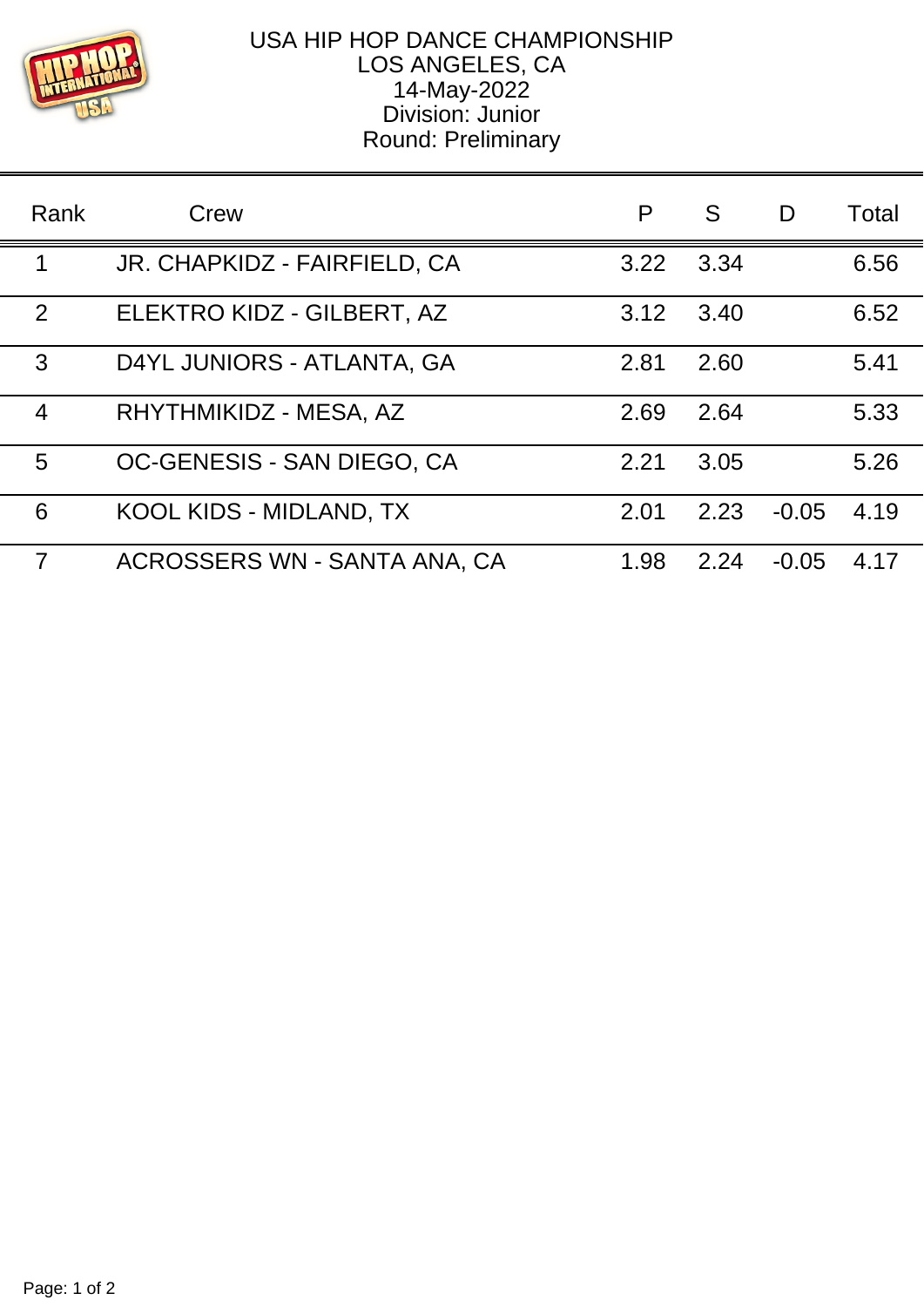

## USA HIP HOP DANCE CHAMPIONSHIP LOS ANGELES, CA 14-May-2022 Division: Junior Round: Preliminary

| Rank           | Crew                         | P    | S    | D       | Total |
|----------------|------------------------------|------|------|---------|-------|
| 1              | JR. CHAPKIDZ - FAIRFIELD, CA | 3.22 | 3.34 |         | 6.56  |
| 2              | ELEKTRO KIDZ - GILBERT, AZ   | 3.12 | 3.40 |         | 6.52  |
| 3              | D4YL JUNIORS - ATLANTA, GA   | 2.81 | 2.60 |         | 5.41  |
| $\overline{4}$ | RHYTHMIKIDZ - MESA, AZ       | 2.69 | 2.64 |         | 5.33  |
| 5              | OC-GENESIS - SAN DIEGO, CA   | 2.21 | 3.05 |         | 5.26  |
| 6              | KOOL KIDS - MIDLAND, TX      | 2.01 | 2.23 | $-0.05$ | 4.19  |
| $\overline{7}$ | ACROSSERS WN - SANTA ANA, CA | 1.98 | 2.24 | $-0.05$ | 4.17  |